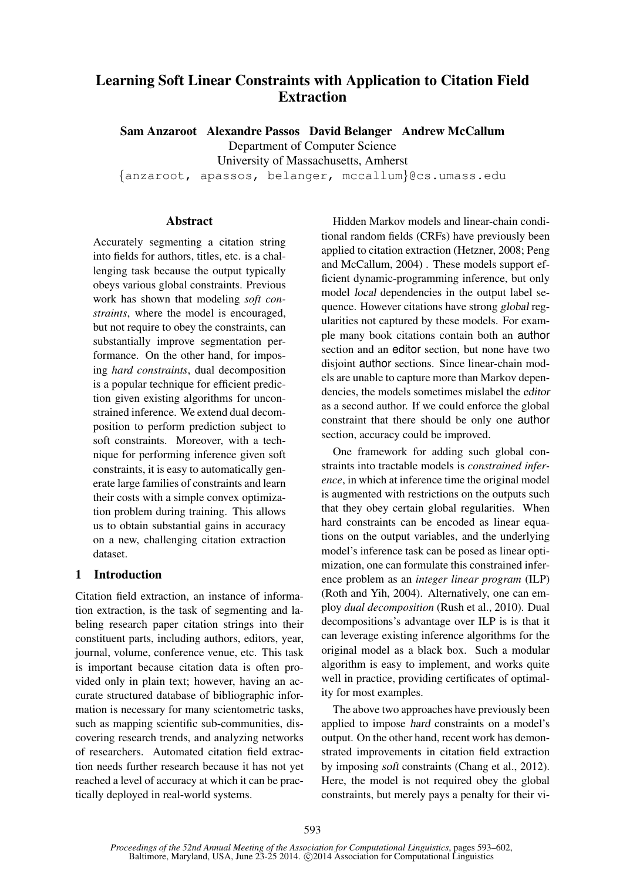# Learning Soft Linear Constraints with Application to Citation Field Extraction

Sam Anzaroot Alexandre Passos David Belanger Andrew McCallum Department of Computer Science University of Massachusetts, Amherst {anzaroot, apassos, belanger, mccallum}@cs.umass.edu

# **Abstract**

Accurately segmenting a citation string into fields for authors, titles, etc. is a challenging task because the output typically obeys various global constraints. Previous work has shown that modeling *soft constraints*, where the model is encouraged, but not require to obey the constraints, can substantially improve segmentation performance. On the other hand, for imposing *hard constraints*, dual decomposition is a popular technique for efficient prediction given existing algorithms for unconstrained inference. We extend dual decomposition to perform prediction subject to soft constraints. Moreover, with a technique for performing inference given soft constraints, it is easy to automatically generate large families of constraints and learn their costs with a simple convex optimization problem during training. This allows us to obtain substantial gains in accuracy on a new, challenging citation extraction dataset.

# 1 Introduction

Citation field extraction, an instance of information extraction, is the task of segmenting and labeling research paper citation strings into their constituent parts, including authors, editors, year, journal, volume, conference venue, etc. This task is important because citation data is often provided only in plain text; however, having an accurate structured database of bibliographic information is necessary for many scientometric tasks, such as mapping scientific sub-communities, discovering research trends, and analyzing networks of researchers. Automated citation field extraction needs further research because it has not yet reached a level of accuracy at which it can be practically deployed in real-world systems.

Hidden Markov models and linear-chain conditional random fields (CRFs) have previously been applied to citation extraction (Hetzner, 2008; Peng and McCallum, 2004) . These models support efficient dynamic-programming inference, but only model local dependencies in the output label sequence. However citations have strong global regularities not captured by these models. For example many book citations contain both an author section and an editor section, but none have two disjoint author sections. Since linear-chain models are unable to capture more than Markov dependencies, the models sometimes mislabel the editor as a second author. If we could enforce the global constraint that there should be only one author section, accuracy could be improved.

One framework for adding such global constraints into tractable models is *constrained inference*, in which at inference time the original model is augmented with restrictions on the outputs such that they obey certain global regularities. When hard constraints can be encoded as linear equations on the output variables, and the underlying model's inference task can be posed as linear optimization, one can formulate this constrained inference problem as an *integer linear program* (ILP) (Roth and Yih, 2004). Alternatively, one can employ *dual decomposition* (Rush et al., 2010). Dual decompositions's advantage over ILP is is that it can leverage existing inference algorithms for the original model as a black box. Such a modular algorithm is easy to implement, and works quite well in practice, providing certificates of optimality for most examples.

The above two approaches have previously been applied to impose hard constraints on a model's output. On the other hand, recent work has demonstrated improvements in citation field extraction by imposing soft constraints (Chang et al., 2012). Here, the model is not required obey the global constraints, but merely pays a penalty for their vi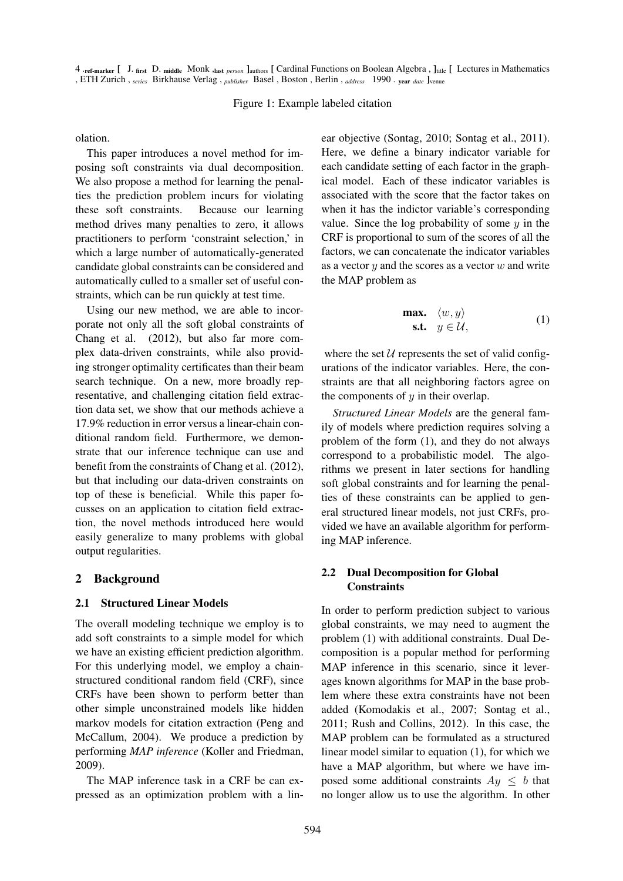4 .ref-marker [ J. first D. middle Monk ,last *person* ]authors [ Cardinal Functions on Boolean Algebra, ]<sub>title</sub> [ Lectures in Mathematics , ETH Zurich , *series* Birkhause Verlag , *publisher* Basel , Boston , Berlin , *address* 1990 . year *date* ]venue

#### Figure 1: Example labeled citation

olation.

This paper introduces a novel method for imposing soft constraints via dual decomposition. We also propose a method for learning the penalties the prediction problem incurs for violating these soft constraints. Because our learning method drives many penalties to zero, it allows practitioners to perform 'constraint selection,' in which a large number of automatically-generated candidate global constraints can be considered and automatically culled to a smaller set of useful constraints, which can be run quickly at test time.

Using our new method, we are able to incorporate not only all the soft global constraints of Chang et al. (2012), but also far more complex data-driven constraints, while also providing stronger optimality certificates than their beam search technique. On a new, more broadly representative, and challenging citation field extraction data set, we show that our methods achieve a 17.9% reduction in error versus a linear-chain conditional random field. Furthermore, we demonstrate that our inference technique can use and benefit from the constraints of Chang et al. (2012), but that including our data-driven constraints on top of these is beneficial. While this paper focusses on an application to citation field extraction, the novel methods introduced here would easily generalize to many problems with global output regularities.

### 2 Background

### 2.1 Structured Linear Models

The overall modeling technique we employ is to add soft constraints to a simple model for which we have an existing efficient prediction algorithm. For this underlying model, we employ a chainstructured conditional random field (CRF), since CRFs have been shown to perform better than other simple unconstrained models like hidden markov models for citation extraction (Peng and McCallum, 2004). We produce a prediction by performing *MAP inference* (Koller and Friedman, 2009).

The MAP inference task in a CRF be can expressed as an optimization problem with a linear objective (Sontag, 2010; Sontag et al., 2011). Here, we define a binary indicator variable for each candidate setting of each factor in the graphical model. Each of these indicator variables is associated with the score that the factor takes on when it has the indictor variable's corresponding value. Since the log probability of some  $y$  in the CRF is proportional to sum of the scores of all the factors, we can concatenate the indicator variables as a vector  $y$  and the scores as a vector  $w$  and write the MAP problem as

$$
\begin{array}{ll}\n\textbf{max.} & \langle w, y \rangle \\
\textbf{s.t.} & y \in \mathcal{U},\n\end{array} \tag{1}
$$

where the set  $U$  represents the set of valid configurations of the indicator variables. Here, the constraints are that all neighboring factors agree on the components of  $y$  in their overlap.

*Structured Linear Models* are the general family of models where prediction requires solving a problem of the form (1), and they do not always correspond to a probabilistic model. The algorithms we present in later sections for handling soft global constraints and for learning the penalties of these constraints can be applied to general structured linear models, not just CRFs, provided we have an available algorithm for performing MAP inference.

# 2.2 Dual Decomposition for Global **Constraints**

In order to perform prediction subject to various global constraints, we may need to augment the problem (1) with additional constraints. Dual Decomposition is a popular method for performing MAP inference in this scenario, since it leverages known algorithms for MAP in the base problem where these extra constraints have not been added (Komodakis et al., 2007; Sontag et al., 2011; Rush and Collins, 2012). In this case, the MAP problem can be formulated as a structured linear model similar to equation (1), for which we have a MAP algorithm, but where we have imposed some additional constraints  $Ay \leq b$  that no longer allow us to use the algorithm. In other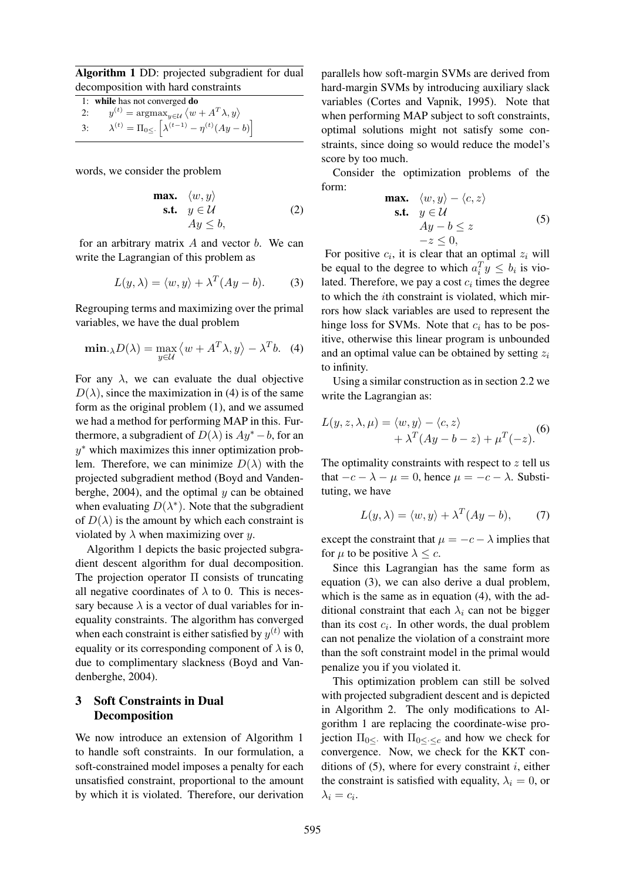Algorithm 1 DD: projected subgradient for dual decomposition with hard constraints

1: while has not converged do  $2:$  $y^{(t)} = \operatorname{argmax}_{y \in \mathcal{U}} \langle w + A^T \lambda, y \rangle$ 3:  $\lambda^{(t)} = \Pi_{0 \leq \cdot} \left[ \lambda^{(t-1)} - \eta^{(t)} (Ay - b) \right]$ 

words, we consider the problem

**max.** 
$$
\langle w, y \rangle
$$
  
\n**s.t.**  $y \in \mathcal{U}$   
\n $Ay \leq b$ , (2)

for an arbitrary matrix  $A$  and vector  $b$ . We can write the Lagrangian of this problem as

$$
L(y, \lambda) = \langle w, y \rangle + \lambda^T (Ay - b). \tag{3}
$$

Regrouping terms and maximizing over the primal variables, we have the dual problem

$$
\min_{\lambda} D(\lambda) = \max_{y \in \mathcal{U}} \left\langle w + A^T \lambda, y \right\rangle - \lambda^T b. \tag{4}
$$

For any  $\lambda$ , we can evaluate the dual objective  $D(\lambda)$ , since the maximization in (4) is of the same form as the original problem (1), and we assumed we had a method for performing MAP in this. Furthermore, a subgradient of  $D(\lambda)$  is  $Ay^* - b$ , for an y ∗ which maximizes this inner optimization problem. Therefore, we can minimize  $D(\lambda)$  with the projected subgradient method (Boyd and Vandenberghe, 2004), and the optimal  $y$  can be obtained when evaluating  $D(\lambda^*)$ . Note that the subgradient of  $D(\lambda)$  is the amount by which each constraint is violated by  $\lambda$  when maximizing over y.

Algorithm 1 depicts the basic projected subgradient descent algorithm for dual decomposition. The projection operator Π consists of truncating all negative coordinates of  $\lambda$  to 0. This is necessary because  $\lambda$  is a vector of dual variables for inequality constraints. The algorithm has converged when each constraint is either satisfied by  $y^{(t)}$  with equality or its corresponding component of  $\lambda$  is 0, due to complimentary slackness (Boyd and Vandenberghe, 2004).

# 3 Soft Constraints in Dual Decomposition

We now introduce an extension of Algorithm 1 to handle soft constraints. In our formulation, a soft-constrained model imposes a penalty for each unsatisfied constraint, proportional to the amount by which it is violated. Therefore, our derivation

parallels how soft-margin SVMs are derived from hard-margin SVMs by introducing auxiliary slack variables (Cortes and Vapnik, 1995). Note that when performing MAP subject to soft constraints, optimal solutions might not satisfy some constraints, since doing so would reduce the model's score by too much.

Consider the optimization problems of the form:

$$
\begin{array}{ll}\n\textbf{max.} & \langle w, y \rangle - \langle c, z \rangle \\
\textbf{s.t.} & y \in \mathcal{U} \\
& Ay - b \le z \\
&-z \le 0,\n\end{array} \tag{5}
$$

For positive  $c_i$ , it is clear that an optimal  $z_i$  will be equal to the degree to which  $a_i^T y \leq b_i$  is violated. Therefore, we pay a cost  $c_i$  times the degree to which the ith constraint is violated, which mirrors how slack variables are used to represent the hinge loss for SVMs. Note that  $c_i$  has to be positive, otherwise this linear program is unbounded and an optimal value can be obtained by setting  $z_i$ to infinity.

Using a similar construction as in section 2.2 we write the Lagrangian as:

$$
L(y, z, \lambda, \mu) = \langle w, y \rangle - \langle c, z \rangle + \lambda^T (Ay - b - z) + \mu^T (-z).
$$
 (6)

The optimality constraints with respect to  $z$  tell us that  $-c - \lambda - \mu = 0$ , hence  $\mu = -c - \lambda$ . Substituting, we have

$$
L(y, \lambda) = \langle w, y \rangle + \lambda^T (Ay - b), \qquad (7)
$$

except the constraint that  $\mu = -c - \lambda$  implies that for  $\mu$  to be positive  $\lambda \leq c$ .

Since this Lagrangian has the same form as equation (3), we can also derive a dual problem, which is the same as in equation (4), with the additional constraint that each  $\lambda_i$  can not be bigger than its cost  $c_i$ . In other words, the dual problem can not penalize the violation of a constraint more than the soft constraint model in the primal would penalize you if you violated it.

This optimization problem can still be solved with projected subgradient descent and is depicted in Algorithm 2. The only modifications to Algorithm 1 are replacing the coordinate-wise projection  $\Pi_{0\leq \cdot \leq c}$  and how we check for convergence. Now, we check for the KKT conditions of  $(5)$ , where for every constraint i, either the constraint is satisfied with equality,  $\lambda_i = 0$ , or  $\lambda_i = c_i.$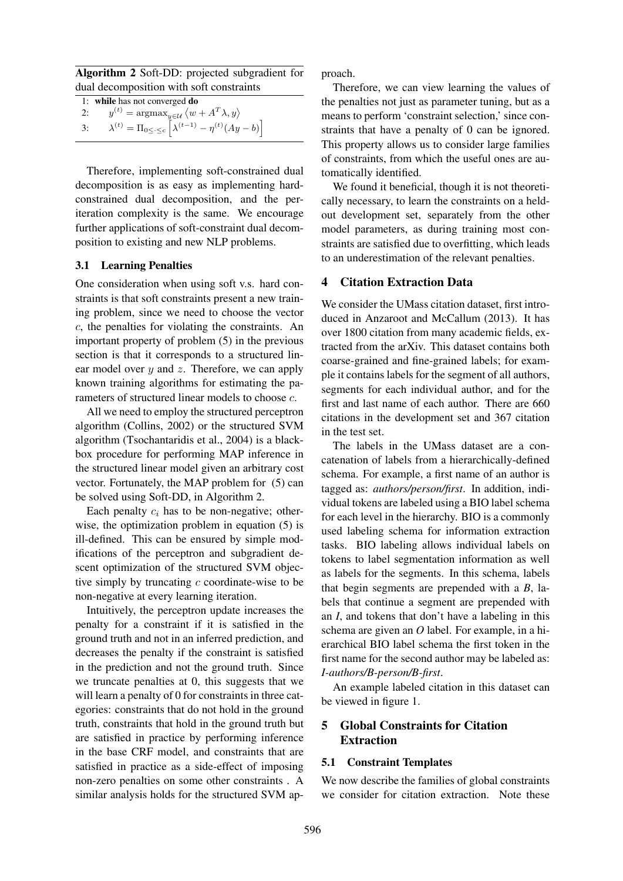Algorithm 2 Soft-DD: projected subgradient for dual decomposition with soft constraints

|    | 1: while has not converged do                                                 |
|----|-------------------------------------------------------------------------------|
| 2: | $y^{(t)} = \arg\!\max_{y \in \mathcal{U}} \langle w + A^T \lambda, y \rangle$ |

3:  $\lambda^{(t)} = \Pi_{0 \leq \cdot \leq c} \left[ \lambda^{(t-1)} - \eta^{(t)} (Ay - b) \right]$ 

Therefore, implementing soft-constrained dual decomposition is as easy as implementing hardconstrained dual decomposition, and the periteration complexity is the same. We encourage further applications of soft-constraint dual decomposition to existing and new NLP problems.

### 3.1 Learning Penalties

One consideration when using soft v.s. hard constraints is that soft constraints present a new training problem, since we need to choose the vector c, the penalties for violating the constraints. An important property of problem (5) in the previous section is that it corresponds to a structured linear model over  $y$  and  $z$ . Therefore, we can apply known training algorithms for estimating the parameters of structured linear models to choose c.

All we need to employ the structured perceptron algorithm (Collins, 2002) or the structured SVM algorithm (Tsochantaridis et al., 2004) is a blackbox procedure for performing MAP inference in the structured linear model given an arbitrary cost vector. Fortunately, the MAP problem for (5) can be solved using Soft-DD, in Algorithm 2.

Each penalty  $c_i$  has to be non-negative; otherwise, the optimization problem in equation (5) is ill-defined. This can be ensured by simple modifications of the perceptron and subgradient descent optimization of the structured SVM objective simply by truncating  $c$  coordinate-wise to be non-negative at every learning iteration.

Intuitively, the perceptron update increases the penalty for a constraint if it is satisfied in the ground truth and not in an inferred prediction, and decreases the penalty if the constraint is satisfied in the prediction and not the ground truth. Since we truncate penalties at 0, this suggests that we will learn a penalty of 0 for constraints in three categories: constraints that do not hold in the ground truth, constraints that hold in the ground truth but are satisfied in practice by performing inference in the base CRF model, and constraints that are satisfied in practice as a side-effect of imposing non-zero penalties on some other constraints . A similar analysis holds for the structured SVM approach.

Therefore, we can view learning the values of the penalties not just as parameter tuning, but as a means to perform 'constraint selection,' since constraints that have a penalty of 0 can be ignored. This property allows us to consider large families of constraints, from which the useful ones are automatically identified.

We found it beneficial, though it is not theoretically necessary, to learn the constraints on a heldout development set, separately from the other model parameters, as during training most constraints are satisfied due to overfitting, which leads to an underestimation of the relevant penalties.

# 4 Citation Extraction Data

We consider the UMass citation dataset, first introduced in Anzaroot and McCallum (2013). It has over 1800 citation from many academic fields, extracted from the arXiv. This dataset contains both coarse-grained and fine-grained labels; for example it contains labels for the segment of all authors, segments for each individual author, and for the first and last name of each author. There are 660 citations in the development set and 367 citation in the test set.

The labels in the UMass dataset are a concatenation of labels from a hierarchically-defined schema. For example, a first name of an author is tagged as: *authors/person/first*. In addition, individual tokens are labeled using a BIO label schema for each level in the hierarchy. BIO is a commonly used labeling schema for information extraction tasks. BIO labeling allows individual labels on tokens to label segmentation information as well as labels for the segments. In this schema, labels that begin segments are prepended with a *B*, labels that continue a segment are prepended with an *I*, and tokens that don't have a labeling in this schema are given an *O* label. For example, in a hierarchical BIO label schema the first token in the first name for the second author may be labeled as: *I-authors/B-person/B-first*.

An example labeled citation in this dataset can be viewed in figure 1.

# 5 Global Constraints for Citation Extraction

# 5.1 Constraint Templates

We now describe the families of global constraints we consider for citation extraction. Note these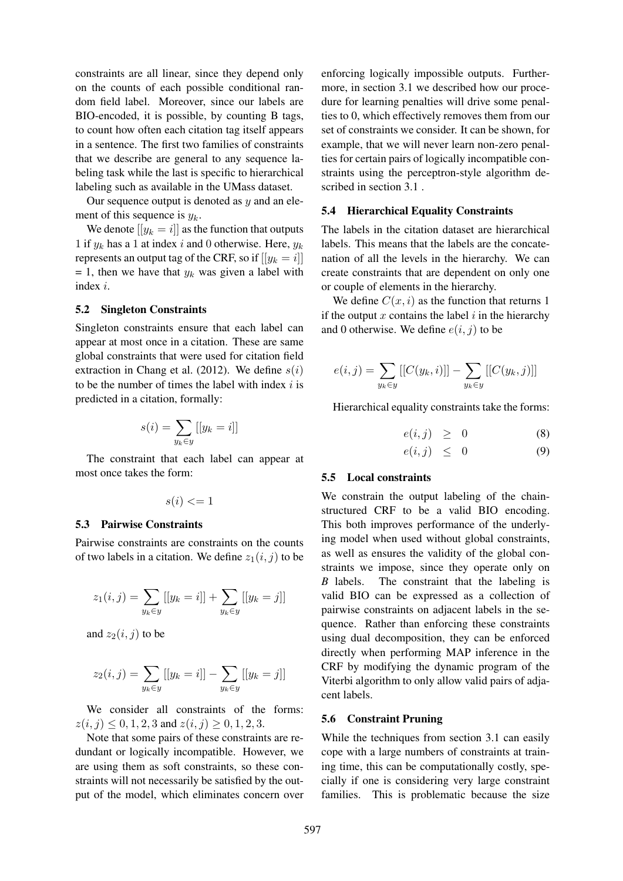constraints are all linear, since they depend only on the counts of each possible conditional random field label. Moreover, since our labels are BIO-encoded, it is possible, by counting B tags, to count how often each citation tag itself appears in a sentence. The first two families of constraints that we describe are general to any sequence labeling task while the last is specific to hierarchical labeling such as available in the UMass dataset.

Our sequence output is denoted as  $y$  and an element of this sequence is  $y_k$ .

We denote  $[[y_k = i]]$  as the function that outputs 1 if  $y_k$  has a 1 at index i and 0 otherwise. Here,  $y_k$ represents an output tag of the CRF, so if  $[|y_k = i]|$  $= 1$ , then we have that  $y_k$  was given a label with index i.

#### 5.2 Singleton Constraints

Singleton constraints ensure that each label can appear at most once in a citation. These are same global constraints that were used for citation field extraction in Chang et al. (2012). We define  $s(i)$ to be the number of times the label with index  $i$  is predicted in a citation, formally:

$$
s(i) = \sum_{y_k \in y} [[y_k = i]]
$$

The constraint that each label can appear at most once takes the form:

$$
s(i) <= 1
$$

#### 5.3 Pairwise Constraints

Pairwise constraints are constraints on the counts of two labels in a citation. We define  $z_1(i, j)$  to be

$$
z_1(i,j) = \sum_{y_k \in y} [[y_k = i]] + \sum_{y_k \in y} [[y_k = j]]
$$

and  $z_2(i, j)$  to be

$$
z_2(i,j) = \sum_{y_k \in y} [[y_k = i]] - \sum_{y_k \in y} [[y_k = j]]
$$

We consider all constraints of the forms:  $z(i, j) \leq 0, 1, 2, 3$  and  $z(i, j) \geq 0, 1, 2, 3$ .

Note that some pairs of these constraints are redundant or logically incompatible. However, we are using them as soft constraints, so these constraints will not necessarily be satisfied by the output of the model, which eliminates concern over

enforcing logically impossible outputs. Furthermore, in section 3.1 we described how our procedure for learning penalties will drive some penalties to 0, which effectively removes them from our set of constraints we consider. It can be shown, for example, that we will never learn non-zero penalties for certain pairs of logically incompatible constraints using the perceptron-style algorithm described in section 3.1 .

#### 5.4 Hierarchical Equality Constraints

The labels in the citation dataset are hierarchical labels. This means that the labels are the concatenation of all the levels in the hierarchy. We can create constraints that are dependent on only one or couple of elements in the hierarchy.

We define  $C(x, i)$  as the function that returns 1 if the output  $x$  contains the label  $i$  in the hierarchy and 0 otherwise. We define  $e(i, j)$  to be

$$
e(i,j) = \sum_{y_k \in y} [[C(y_k, i)]] - \sum_{y_k \in y} [[C(y_k, j)]]
$$

Hierarchical equality constraints take the forms:

$$
e(i,j) \geq 0 \tag{8}
$$

$$
e(i,j) \leq 0 \tag{9}
$$

#### 5.5 Local constraints

We constrain the output labeling of the chainstructured CRF to be a valid BIO encoding. This both improves performance of the underlying model when used without global constraints, as well as ensures the validity of the global constraints we impose, since they operate only on *B* labels. The constraint that the labeling is valid BIO can be expressed as a collection of pairwise constraints on adjacent labels in the sequence. Rather than enforcing these constraints using dual decomposition, they can be enforced directly when performing MAP inference in the CRF by modifying the dynamic program of the Viterbi algorithm to only allow valid pairs of adjacent labels.

#### 5.6 Constraint Pruning

While the techniques from section 3.1 can easily cope with a large numbers of constraints at training time, this can be computationally costly, specially if one is considering very large constraint families. This is problematic because the size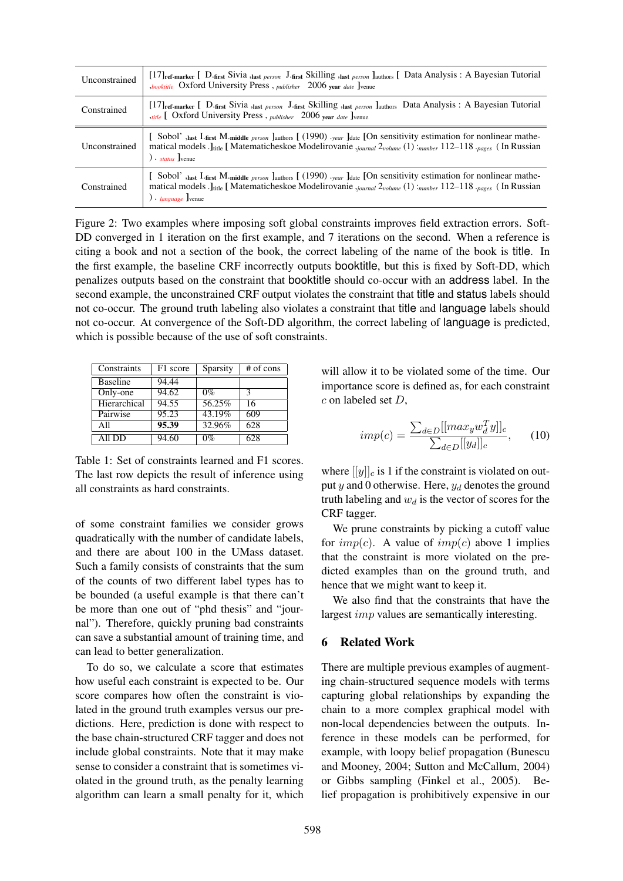| Unconstrained | [17] <sub>ref-marker</sub> [D-first Sivia ,last person J-first Skilling ,last person ] authors [Data Analysis: A Bayesian Tutorial<br><i>booktitle</i> Oxford University Press, <i>publisher</i> 2006 year date ] venue                                                              |
|---------------|--------------------------------------------------------------------------------------------------------------------------------------------------------------------------------------------------------------------------------------------------------------------------------------|
| Constrained   | [17] ref-marker [D. first Sivia , last person J. first Skilling , last person ] authors Data Analysis: A Bayesian Tutorial<br><i>stitle</i> [ Oxford University Press, <i>publisher</i> 2006 year <i>date</i> ] venue                                                                |
| Unconstrained | [Sobol', last I. first M. middle person ]authors [(1990), year ]date [On sensitivity estimation for nonlinear mathe-<br>matical models . Jule [ Matematicheskoe Modelirovanie <i>journal 2volume</i> (1) : number 112-118 . pages (In Russian<br>$\sum$ . status Ivenue              |
| Constrained   | [Sobol', Jast I. first M. middle <i>person</i> Jauthors [(1990) . year Jdate [On sensitivity estimation for nonlinear mathe-<br>matical models . Juite [ Matematicheskoe Modelirovanie .journal 2volume (1) : number 112-118 .pages (In Russian<br>) $\cdot$ <i>language</i> ] venue |

Figure 2: Two examples where imposing soft global constraints improves field extraction errors. Soft-DD converged in 1 iteration on the first example, and 7 iterations on the second. When a reference is citing a book and not a section of the book, the correct labeling of the name of the book is title. In the first example, the baseline CRF incorrectly outputs booktitle, but this is fixed by Soft-DD, which penalizes outputs based on the constraint that booktitle should co-occur with an address label. In the second example, the unconstrained CRF output violates the constraint that title and status labels should not co-occur. The ground truth labeling also violates a constraint that title and language labels should not co-occur. At convergence of the Soft-DD algorithm, the correct labeling of language is predicted, which is possible because of the use of soft constraints.

| Constraints     | F1 score | Sparsity | $#$ of cons   |
|-----------------|----------|----------|---------------|
| <b>Baseline</b> | 94.44    |          |               |
| Only-one        | 94.62    | $0\%$    | $\mathcal{R}$ |
| Hierarchical    | 94.55    | 56.25%   | 16            |
| Pairwise        | 95.23    | 43.19%   | 609           |
| All             | 95.39    | 32.96%   | 628           |
| All DD          | 94.60    | $0\%$    | 628           |

Table 1: Set of constraints learned and F1 scores. The last row depicts the result of inference using all constraints as hard constraints.

of some constraint families we consider grows quadratically with the number of candidate labels, and there are about 100 in the UMass dataset. Such a family consists of constraints that the sum of the counts of two different label types has to be bounded (a useful example is that there can't be more than one out of "phd thesis" and "journal"). Therefore, quickly pruning bad constraints can save a substantial amount of training time, and can lead to better generalization.

To do so, we calculate a score that estimates how useful each constraint is expected to be. Our score compares how often the constraint is violated in the ground truth examples versus our predictions. Here, prediction is done with respect to the base chain-structured CRF tagger and does not include global constraints. Note that it may make sense to consider a constraint that is sometimes violated in the ground truth, as the penalty learning algorithm can learn a small penalty for it, which will allow it to be violated some of the time. Our importance score is defined as, for each constraint c on labeled set D,

$$
imp(c) = \frac{\sum_{d \in D}[[max_y w_d^T y]]_c}{\sum_{d \in D}[[y_d]]_c},\qquad(10)
$$

where  $[[y]]_c$  is 1 if the constraint is violated on output  $y$  and 0 otherwise. Here,  $y_d$  denotes the ground truth labeling and  $w_d$  is the vector of scores for the CRF tagger.

We prune constraints by picking a cutoff value for  $imp(c)$ . A value of  $imp(c)$  above 1 implies that the constraint is more violated on the predicted examples than on the ground truth, and hence that we might want to keep it.

We also find that the constraints that have the largest *imp* values are semantically interesting.

### 6 Related Work

There are multiple previous examples of augmenting chain-structured sequence models with terms capturing global relationships by expanding the chain to a more complex graphical model with non-local dependencies between the outputs. Inference in these models can be performed, for example, with loopy belief propagation (Bunescu and Mooney, 2004; Sutton and McCallum, 2004) or Gibbs sampling (Finkel et al., 2005). Belief propagation is prohibitively expensive in our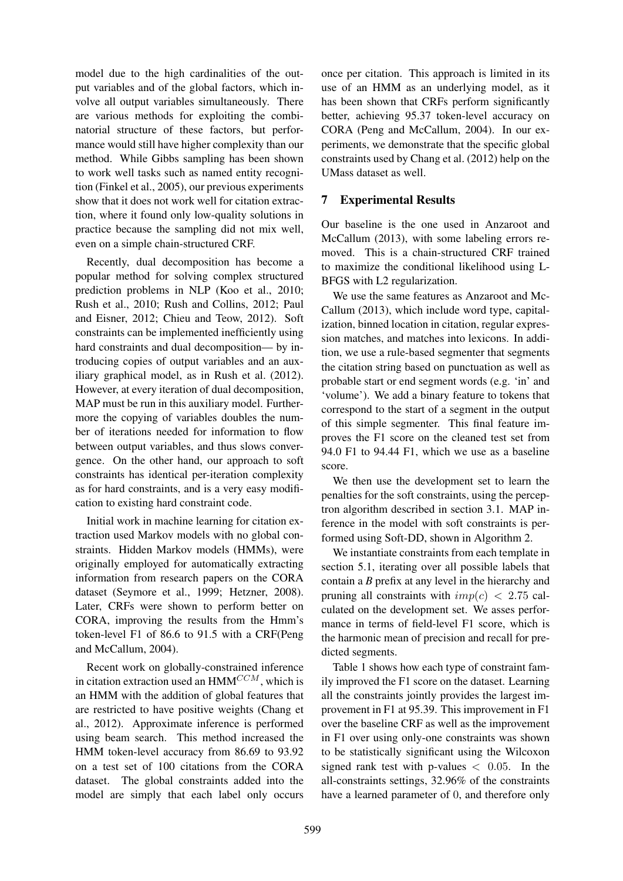model due to the high cardinalities of the output variables and of the global factors, which involve all output variables simultaneously. There are various methods for exploiting the combinatorial structure of these factors, but performance would still have higher complexity than our method. While Gibbs sampling has been shown to work well tasks such as named entity recognition (Finkel et al., 2005), our previous experiments show that it does not work well for citation extraction, where it found only low-quality solutions in practice because the sampling did not mix well, even on a simple chain-structured CRF.

Recently, dual decomposition has become a popular method for solving complex structured prediction problems in NLP (Koo et al., 2010; Rush et al., 2010; Rush and Collins, 2012; Paul and Eisner, 2012; Chieu and Teow, 2012). Soft constraints can be implemented inefficiently using hard constraints and dual decomposition— by introducing copies of output variables and an auxiliary graphical model, as in Rush et al. (2012). However, at every iteration of dual decomposition, MAP must be run in this auxiliary model. Furthermore the copying of variables doubles the number of iterations needed for information to flow between output variables, and thus slows convergence. On the other hand, our approach to soft constraints has identical per-iteration complexity as for hard constraints, and is a very easy modification to existing hard constraint code.

Initial work in machine learning for citation extraction used Markov models with no global constraints. Hidden Markov models (HMMs), were originally employed for automatically extracting information from research papers on the CORA dataset (Seymore et al., 1999; Hetzner, 2008). Later, CRFs were shown to perform better on CORA, improving the results from the Hmm's token-level F1 of 86.6 to 91.5 with a CRF(Peng and McCallum, 2004).

Recent work on globally-constrained inference in citation extraction used an  $HMM^{CCM}$ , which is an HMM with the addition of global features that are restricted to have positive weights (Chang et al., 2012). Approximate inference is performed using beam search. This method increased the HMM token-level accuracy from 86.69 to 93.92 on a test set of 100 citations from the CORA dataset. The global constraints added into the model are simply that each label only occurs

once per citation. This approach is limited in its use of an HMM as an underlying model, as it has been shown that CRFs perform significantly better, achieving 95.37 token-level accuracy on CORA (Peng and McCallum, 2004). In our experiments, we demonstrate that the specific global constraints used by Chang et al. (2012) help on the UMass dataset as well.

# 7 Experimental Results

Our baseline is the one used in Anzaroot and McCallum (2013), with some labeling errors removed. This is a chain-structured CRF trained to maximize the conditional likelihood using L-BFGS with L2 regularization.

We use the same features as Anzaroot and Mc-Callum (2013), which include word type, capitalization, binned location in citation, regular expression matches, and matches into lexicons. In addition, we use a rule-based segmenter that segments the citation string based on punctuation as well as probable start or end segment words (e.g. 'in' and 'volume'). We add a binary feature to tokens that correspond to the start of a segment in the output of this simple segmenter. This final feature improves the F1 score on the cleaned test set from 94.0 F1 to 94.44 F1, which we use as a baseline score.

We then use the development set to learn the penalties for the soft constraints, using the perceptron algorithm described in section 3.1. MAP inference in the model with soft constraints is performed using Soft-DD, shown in Algorithm 2.

We instantiate constraints from each template in section 5.1, iterating over all possible labels that contain a *B* prefix at any level in the hierarchy and pruning all constraints with  $imp(c) < 2.75$  calculated on the development set. We asses performance in terms of field-level F1 score, which is the harmonic mean of precision and recall for predicted segments.

Table 1 shows how each type of constraint family improved the F1 score on the dataset. Learning all the constraints jointly provides the largest improvement in F1 at 95.39. This improvement in F1 over the baseline CRF as well as the improvement in F1 over using only-one constraints was shown to be statistically significant using the Wilcoxon signed rank test with p-values  $< 0.05$ . In the all-constraints settings, 32.96% of the constraints have a learned parameter of 0, and therefore only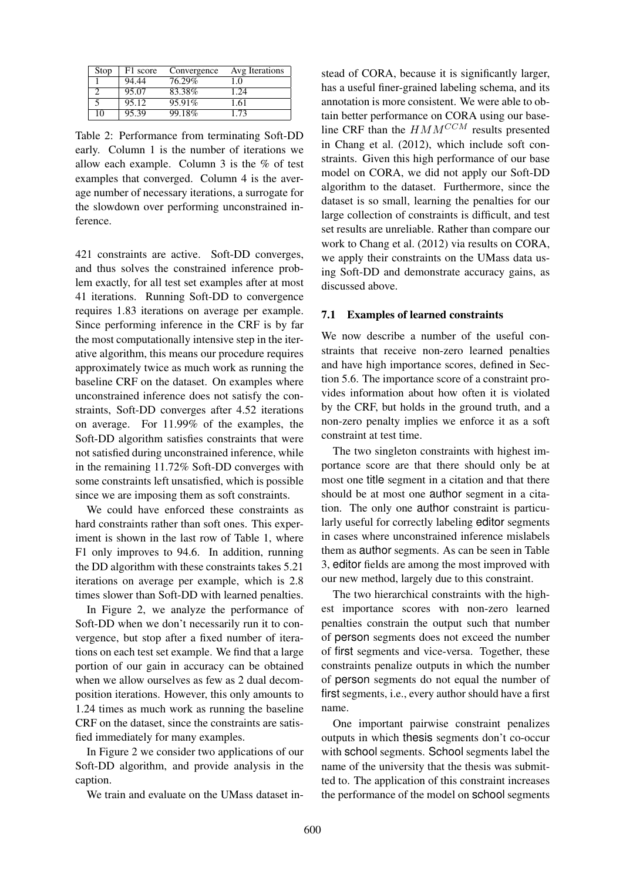| Stop | F1 score | Convergence | Avg Iterations |
|------|----------|-------------|----------------|
|      | 94.44    | 76.29%      | 1.0            |
|      | 95.07    | 83.38%      | 1.24           |
|      | 95.12    | 95.91%      | 1.61           |
| 10   | 95.39    | 99.18%      | 1.73           |

Table 2: Performance from terminating Soft-DD early. Column 1 is the number of iterations we allow each example. Column 3 is the % of test examples that converged. Column 4 is the average number of necessary iterations, a surrogate for the slowdown over performing unconstrained inference.

421 constraints are active. Soft-DD converges, and thus solves the constrained inference problem exactly, for all test set examples after at most 41 iterations. Running Soft-DD to convergence requires 1.83 iterations on average per example. Since performing inference in the CRF is by far the most computationally intensive step in the iterative algorithm, this means our procedure requires approximately twice as much work as running the baseline CRF on the dataset. On examples where unconstrained inference does not satisfy the constraints, Soft-DD converges after 4.52 iterations on average. For 11.99% of the examples, the Soft-DD algorithm satisfies constraints that were not satisfied during unconstrained inference, while in the remaining 11.72% Soft-DD converges with some constraints left unsatisfied, which is possible since we are imposing them as soft constraints.

We could have enforced these constraints as hard constraints rather than soft ones. This experiment is shown in the last row of Table 1, where F1 only improves to 94.6. In addition, running the DD algorithm with these constraints takes 5.21 iterations on average per example, which is 2.8 times slower than Soft-DD with learned penalties.

In Figure 2, we analyze the performance of Soft-DD when we don't necessarily run it to convergence, but stop after a fixed number of iterations on each test set example. We find that a large portion of our gain in accuracy can be obtained when we allow ourselves as few as 2 dual decomposition iterations. However, this only amounts to 1.24 times as much work as running the baseline CRF on the dataset, since the constraints are satisfied immediately for many examples.

In Figure 2 we consider two applications of our Soft-DD algorithm, and provide analysis in the caption.

We train and evaluate on the UMass dataset in-

stead of CORA, because it is significantly larger, has a useful finer-grained labeling schema, and its annotation is more consistent. We were able to obtain better performance on CORA using our baseline CRF than the  $HMM^{CCM}$  results presented in Chang et al. (2012), which include soft constraints. Given this high performance of our base model on CORA, we did not apply our Soft-DD algorithm to the dataset. Furthermore, since the dataset is so small, learning the penalties for our large collection of constraints is difficult, and test set results are unreliable. Rather than compare our work to Chang et al. (2012) via results on CORA, we apply their constraints on the UMass data using Soft-DD and demonstrate accuracy gains, as discussed above.

### 7.1 Examples of learned constraints

We now describe a number of the useful constraints that receive non-zero learned penalties and have high importance scores, defined in Section 5.6. The importance score of a constraint provides information about how often it is violated by the CRF, but holds in the ground truth, and a non-zero penalty implies we enforce it as a soft constraint at test time.

The two singleton constraints with highest importance score are that there should only be at most one title segment in a citation and that there should be at most one author segment in a citation. The only one author constraint is particularly useful for correctly labeling editor segments in cases where unconstrained inference mislabels them as author segments. As can be seen in Table 3, editor fields are among the most improved with our new method, largely due to this constraint.

The two hierarchical constraints with the highest importance scores with non-zero learned penalties constrain the output such that number of person segments does not exceed the number of first segments and vice-versa. Together, these constraints penalize outputs in which the number of person segments do not equal the number of first segments, i.e., every author should have a first name.

One important pairwise constraint penalizes outputs in which thesis segments don't co-occur with school segments. School segments label the name of the university that the thesis was submitted to. The application of this constraint increases the performance of the model on school segments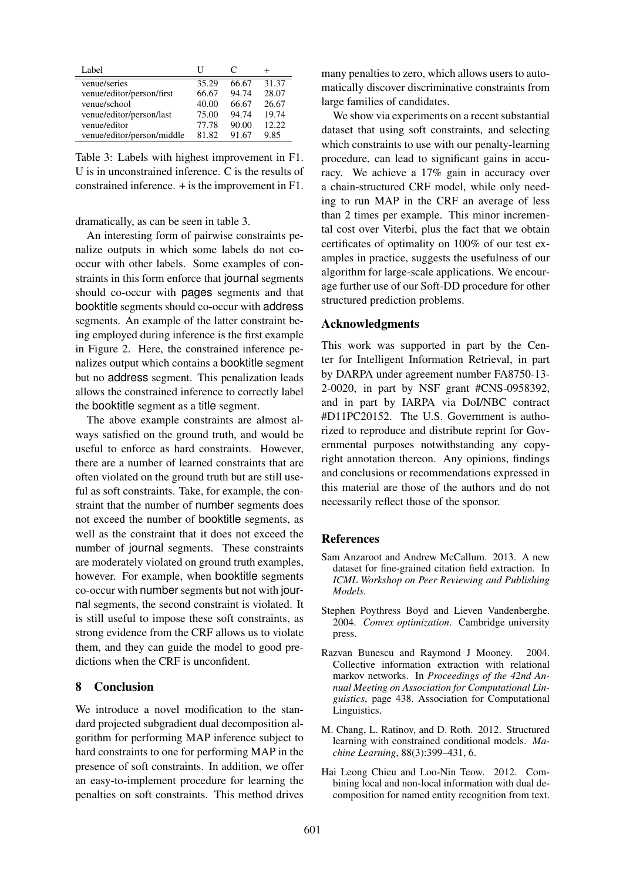| Label                      |       | €     |        |
|----------------------------|-------|-------|--------|
| venue/series               | 35.29 | 66.67 | 31.37  |
| venue/editor/person/first  | 66.67 | 94.74 | 28.07  |
| venue/school               | 40.00 | 66.67 | 26.67  |
| venue/editor/person/last   | 75.00 | 94.74 | 19.74  |
| venue/editor               | 77.78 | 90.00 | 12.22. |
| venue/editor/person/middle | 81.82 | 91.67 | 9.85   |

Table 3: Labels with highest improvement in F1. U is in unconstrained inference. C is the results of constrained inference. + is the improvement in F1.

dramatically, as can be seen in table 3.

An interesting form of pairwise constraints penalize outputs in which some labels do not cooccur with other labels. Some examples of constraints in this form enforce that journal segments should co-occur with pages segments and that booktitle segments should co-occur with address segments. An example of the latter constraint being employed during inference is the first example in Figure 2. Here, the constrained inference penalizes output which contains a booktitle segment but no address segment. This penalization leads allows the constrained inference to correctly label the booktitle segment as a title segment.

The above example constraints are almost always satisfied on the ground truth, and would be useful to enforce as hard constraints. However, there are a number of learned constraints that are often violated on the ground truth but are still useful as soft constraints. Take, for example, the constraint that the number of number segments does not exceed the number of booktitle segments, as well as the constraint that it does not exceed the number of journal segments. These constraints are moderately violated on ground truth examples, however. For example, when booktitle segments co-occur with number segments but not with journal segments, the second constraint is violated. It is still useful to impose these soft constraints, as strong evidence from the CRF allows us to violate them, and they can guide the model to good predictions when the CRF is unconfident.

### 8 Conclusion

We introduce a novel modification to the standard projected subgradient dual decomposition algorithm for performing MAP inference subject to hard constraints to one for performing MAP in the presence of soft constraints. In addition, we offer an easy-to-implement procedure for learning the penalties on soft constraints. This method drives

many penalties to zero, which allows users to automatically discover discriminative constraints from large families of candidates.

We show via experiments on a recent substantial dataset that using soft constraints, and selecting which constraints to use with our penalty-learning procedure, can lead to significant gains in accuracy. We achieve a 17% gain in accuracy over a chain-structured CRF model, while only needing to run MAP in the CRF an average of less than 2 times per example. This minor incremental cost over Viterbi, plus the fact that we obtain certificates of optimality on 100% of our test examples in practice, suggests the usefulness of our algorithm for large-scale applications. We encourage further use of our Soft-DD procedure for other structured prediction problems.

### Acknowledgments

This work was supported in part by the Center for Intelligent Information Retrieval, in part by DARPA under agreement number FA8750-13- 2-0020, in part by NSF grant #CNS-0958392, and in part by IARPA via DoI/NBC contract #D11PC20152. The U.S. Government is authorized to reproduce and distribute reprint for Governmental purposes notwithstanding any copyright annotation thereon. Any opinions, findings and conclusions or recommendations expressed in this material are those of the authors and do not necessarily reflect those of the sponsor.

# References

- Sam Anzaroot and Andrew McCallum. 2013. A new dataset for fine-grained citation field extraction. In *ICML Workshop on Peer Reviewing and Publishing Models*.
- Stephen Poythress Boyd and Lieven Vandenberghe. 2004. *Convex optimization*. Cambridge university press.
- Razvan Bunescu and Raymond J Mooney. 2004. Collective information extraction with relational markov networks. In *Proceedings of the 42nd Annual Meeting on Association for Computational Linguistics*, page 438. Association for Computational Linguistics.
- M. Chang, L. Ratinov, and D. Roth. 2012. Structured learning with constrained conditional models. *Machine Learning*, 88(3):399–431, 6.
- Hai Leong Chieu and Loo-Nin Teow. 2012. Combining local and non-local information with dual decomposition for named entity recognition from text.